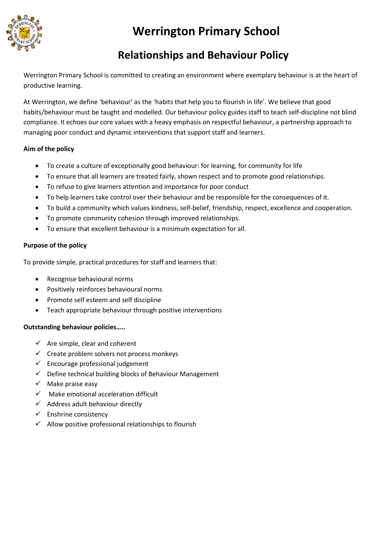

## **Werrington Primary School**

### **Relationships and Behaviour Policy**

Werrington Primary School is committed to creating an environment where exemplary behaviour is at the heart of productive learning.

At Werrington, we define 'behaviour' as the 'habits that help you to flourish in life'. We believe that good habits/behaviour must be taught and modelled. Our behaviour policy guides staff to teach self-discipline not blind compliance. It echoes our core values with a heavy emphasis on respectful behaviour, a partnership approach to managing poor conduct and dynamic interventions that support staff and learners.

#### **Aim of the policy**

- To create a culture of exceptionally good behaviour: for learning, for community for life
- To ensure that all learners are treated fairly, shown respect and to promote good relationships.
- To refuse to give learners attention and importance for poor conduct
- To help learners take control over their behaviour and be responsible for the consequences of it.
- To build a community which values kindness, self-belief, friendship, respect, excellence and cooperation.
- To promote community cohesion through improved relationships.
- To ensure that excellent behaviour is a minimum expectation for all.

#### **Purpose of the policy**

To provide simple, practical procedures for staff and learners that:

- Recognise behavioural norms
- Positively reinforces behavioural norms
- Promote self esteem and self discipline
- Teach appropriate behaviour through positive interventions

#### **Outstanding behaviour policies…..**

- $\checkmark$  Are simple, clear and coherent
- $\checkmark$  Create problem solvers not process monkeys
- $\checkmark$  Encourage professional judgement
- $\checkmark$  Define technical building blocks of Behaviour Management
- $\checkmark$  Make praise easy
- $\checkmark$  Make emotional acceleration difficult
- $\checkmark$  Address adult behaviour directly
- $\checkmark$  Enshrine consistency
- $\checkmark$  Allow positive professional relationships to flourish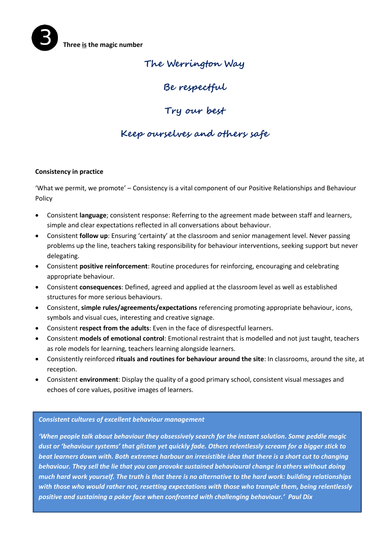**The Werrington Way**

**Be respectful**

**Try our best**

## **Keep ourselves and others safe**

#### **Consistency in practice**

'What we permit, we promote' – Consistency is a vital component of our Positive Relationships and Behaviour Policy

- Consistent **language**; consistent response: Referring to the agreement made between staff and learners, simple and clear expectations reflected in all conversations about behaviour.
- Consistent **follow up**: Ensuring 'certainty' at the classroom and senior management level. Never passing problems up the line, teachers taking responsibility for behaviour interventions, seeking support but never delegating.
- Consistent **positive reinforcement**: Routine procedures for reinforcing, encouraging and celebrating appropriate behaviour.
- Consistent **consequences**: Defined, agreed and applied at the classroom level as well as established structures for more serious behaviours.
- Consistent, **simple rules/agreements/expectations** referencing promoting appropriate behaviour, icons, symbols and visual cues, interesting and creative signage.
- Consistent **respect from the adults**: Even in the face of disrespectful learners.
- Consistent **models of emotional control**: Emotional restraint that is modelled and not just taught, teachers as role models for learning, teachers learning alongside learners.
- Consistently reinforced **rituals and routines for behaviour around the site**: In classrooms, around the site, at reception.
- Consistent **environment**: Display the quality of a good primary school, consistent visual messages and echoes of core values, positive images of learners.

#### *Consistent cultures of excellent behaviour management*

*'When people talk about behaviour they obsessively search for the instant solution. Some peddle magic dust or 'behaviour systems' that glisten yet quickly fade. Others relentlessly scream for a bigger stick to beat learners down with. Both extremes harbour an irresistible idea that there is a short cut to changing behaviour. They sell the lie that you can provoke sustained behavioural change in others without doing much hard work yourself. The truth is that there is no alternative to the hard work: building relationships with those who would rather not, resetting expectations with those who trample them, being relentlessly positive and sustaining a poker face when confronted with challenging behaviour.' Paul Dix*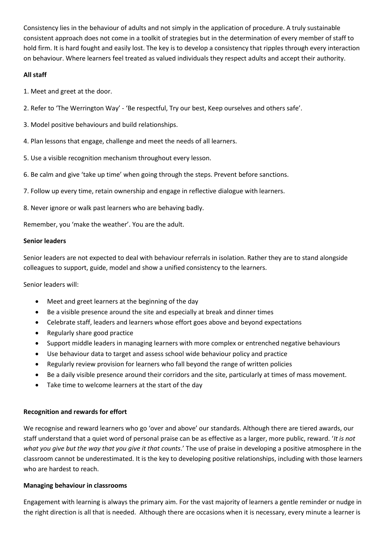Consistency lies in the behaviour of adults and not simply in the application of procedure. A truly sustainable consistent approach does not come in a toolkit of strategies but in the determination of every member of staff to hold firm. It is hard fought and easily lost. The key is to develop a consistency that ripples through every interaction on behaviour. Where learners feel treated as valued individuals they respect adults and accept their authority.

#### **All staff**

1. Meet and greet at the door.

- 2. Refer to 'The Werrington Way' 'Be respectful, Try our best, Keep ourselves and others safe'.
- 3. Model positive behaviours and build relationships.
- 4. Plan lessons that engage, challenge and meet the needs of all learners.
- 5. Use a visible recognition mechanism throughout every lesson.
- 6. Be calm and give 'take up time' when going through the steps. Prevent before sanctions.
- 7. Follow up every time, retain ownership and engage in reflective dialogue with learners.
- 8. Never ignore or walk past learners who are behaving badly.

Remember, you 'make the weather'. You are the adult.

#### **Senior leaders**

Senior leaders are not expected to deal with behaviour referrals in isolation. Rather they are to stand alongside colleagues to support, guide, model and show a unified consistency to the learners.

Senior leaders will:

- Meet and greet learners at the beginning of the day
- Be a visible presence around the site and especially at break and dinner times
- Celebrate staff, leaders and learners whose effort goes above and beyond expectations
- Regularly share good practice
- Support middle leaders in managing learners with more complex or entrenched negative behaviours
- Use behaviour data to target and assess school wide behaviour policy and practice
- Regularly review provision for learners who fall beyond the range of written policies
- Be a daily visible presence around their corridors and the site, particularly at times of mass movement.
- Take time to welcome learners at the start of the day

#### **Recognition and rewards for effort**

We recognise and reward learners who go 'over and above' our standards. Although there are tiered awards, our staff understand that a quiet word of personal praise can be as effective as a larger, more public, reward. '*It is not what you give but the way that you give it that counts*.' The use of praise in developing a positive atmosphere in the classroom cannot be underestimated. It is the key to developing positive relationships, including with those learners who are hardest to reach.

#### **Managing behaviour in classrooms**

Engagement with learning is always the primary aim. For the vast majority of learners a gentle reminder or nudge in the right direction is all that is needed. Although there are occasions when it is necessary, every minute a learner is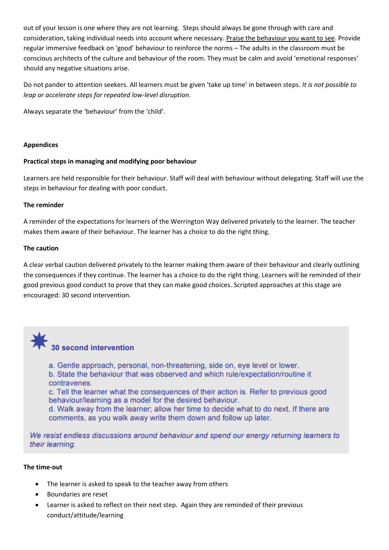out of your lesson is one where they are not learning. Steps should always be gone through with care and consideration, taking individual needs into account where necessary. Praise the behaviour you want to see. Provide regular immersive feedback on 'good' behaviour to reinforce the norms – The adults in the classroom must be conscious architects of the culture and behaviour of the room. They must be calm and avoid 'emotional responses' should any negative situations arise.

Do not pander to attention seekers. All learners must be given 'take up time' in between steps. *It is not possible to leap or accelerate steps for repeated low-level disruption*.

Always separate the 'behaviour' from the 'child'.

#### **Appendices**

#### **Practical steps in managing and modifying poor behaviour**

Learners are held responsible for their behaviour. Staff will deal with behaviour without delegating. Staff will use the steps in behaviour for dealing with poor conduct.

#### **The reminder**

A reminder of the expectations for learners of the Werrington Way delivered privately to the learner. The teacher makes them aware of their behaviour. The learner has a choice to do the right thing.

#### **The caution**

A clear verbal caution delivered privately to the learner making them aware of their behaviour and clearly outlining the consequences if they continue. The learner has a choice to do the right thing. Learners will be reminded of their good previous good conduct to prove that they can make good choices. Scripted approaches at this stage are encouraged: 30 second intervention.



# 30 second intervention

a. Gentle approach, personal, non-threatening, side on, eye level or lower. b. State the behaviour that was observed and which rule/expectation/routine it contravenes.

c. Tell the learner what the consequences of their action is. Refer to previous good behaviour/learning as a model for the desired behaviour.

d. Walk away from the learner; allow her time to decide what to do next. If there are comments, as you walk away write them down and follow up later.

We resist endless discussions around behaviour and spend our energy returning learners to their learning.

#### **The time-out**

- The learner is asked to speak to the teacher away from others
- Boundaries are reset
- Learner is asked to reflect on their next step. Again they are reminded of their previous conduct/attitude/learning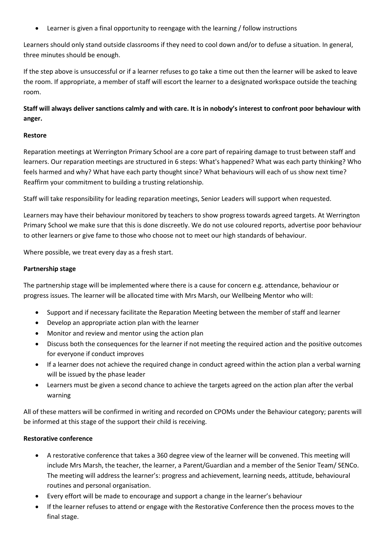Learner is given a final opportunity to reengage with the learning / follow instructions

Learners should only stand outside classrooms if they need to cool down and/or to defuse a situation. In general, three minutes should be enough.

If the step above is unsuccessful or if a learner refuses to go take a time out then the learner will be asked to leave the room. If appropriate, a member of staff will escort the learner to a designated workspace outside the teaching room.

#### **Staff will always deliver sanctions calmly and with care. It is in nobody's interest to confront poor behaviour with anger.**

#### **Restore**

Reparation meetings at Werrington Primary School are a core part of repairing damage to trust between staff and learners. Our reparation meetings are structured in 6 steps: What's happened? What was each party thinking? Who feels harmed and why? What have each party thought since? What behaviours will each of us show next time? Reaffirm your commitment to building a trusting relationship.

Staff will take responsibility for leading reparation meetings, Senior Leaders will support when requested.

Learners may have their behaviour monitored by teachers to show progress towards agreed targets. At Werrington Primary School we make sure that this is done discreetly. We do not use coloured reports, advertise poor behaviour to other learners or give fame to those who choose not to meet our high standards of behaviour.

Where possible, we treat every day as a fresh start.

#### **Partnership stage**

The partnership stage will be implemented where there is a cause for concern e.g. attendance, behaviour or progress issues. The learner will be allocated time with Mrs Marsh, our Wellbeing Mentor who will:

- Support and if necessary facilitate the Reparation Meeting between the member of staff and learner
- Develop an appropriate action plan with the learner
- Monitor and review and mentor using the action plan
- Discuss both the consequences for the learner if not meeting the required action and the positive outcomes for everyone if conduct improves
- If a learner does not achieve the required change in conduct agreed within the action plan a verbal warning will be issued by the phase leader
- Learners must be given a second chance to achieve the targets agreed on the action plan after the verbal warning

All of these matters will be confirmed in writing and recorded on CPOMs under the Behaviour category; parents will be informed at this stage of the support their child is receiving.

#### **Restorative conference**

- A restorative conference that takes a 360 degree view of the learner will be convened. This meeting will include Mrs Marsh, the teacher, the learner, a Parent/Guardian and a member of the Senior Team/ SENCo. The meeting will address the learner's: progress and achievement, learning needs, attitude, behavioural routines and personal organisation.
- Every effort will be made to encourage and support a change in the learner's behaviour
- If the learner refuses to attend or engage with the Restorative Conference then the process moves to the final stage.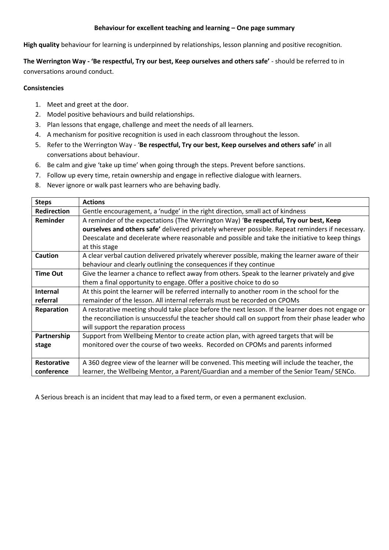#### **Behaviour for excellent teaching and learning – One page summary**

**High quality** behaviour for learning is underpinned by relationships, lesson planning and positive recognition.

**The Werrington Way - 'Be respectful, Try our best, Keep ourselves and others safe'** - should be referred to in conversations around conduct.

#### **Consistencies**

- 1. Meet and greet at the door.
- 2. Model positive behaviours and build relationships.
- 3. Plan lessons that engage, challenge and meet the needs of all learners.
- 4. A mechanism for positive recognition is used in each classroom throughout the lesson.
- 5. Refer to the Werrington Way '**Be respectful, Try our best, Keep ourselves and others safe'** in all conversations about behaviour.
- 6. Be calm and give 'take up time' when going through the steps. Prevent before sanctions.
- 7. Follow up every time, retain ownership and engage in reflective dialogue with learners.
- 8. Never ignore or walk past learners who are behaving badly.

| <b>Steps</b>       | <b>Actions</b>                                                                                    |
|--------------------|---------------------------------------------------------------------------------------------------|
| <b>Redirection</b> | Gentle encouragement, a 'nudge' in the right direction, small act of kindness                     |
| <b>Reminder</b>    | A reminder of the expectations (The Werrington Way) 'Be respectful, Try our best, Keep            |
|                    | ourselves and others safe' delivered privately wherever possible. Repeat reminders if necessary.  |
|                    | Deescalate and decelerate where reasonable and possible and take the initiative to keep things    |
|                    | at this stage                                                                                     |
| Caution            | A clear verbal caution delivered privately wherever possible, making the learner aware of their   |
|                    | behaviour and clearly outlining the consequences if they continue                                 |
| <b>Time Out</b>    | Give the learner a chance to reflect away from others. Speak to the learner privately and give    |
|                    | them a final opportunity to engage. Offer a positive choice to do so                              |
| <b>Internal</b>    | At this point the learner will be referred internally to another room in the school for the       |
| referral           | remainder of the lesson. All internal referrals must be recorded on CPOMs                         |
| Reparation         | A restorative meeting should take place before the next lesson. If the learner does not engage or |
|                    | the reconciliation is unsuccessful the teacher should call on support from their phase leader who |
|                    | will support the reparation process                                                               |
| Partnership        | Support from Wellbeing Mentor to create action plan, with agreed targets that will be             |
| stage              | monitored over the course of two weeks. Recorded on CPOMs and parents informed                    |
|                    |                                                                                                   |
| <b>Restorative</b> | A 360 degree view of the learner will be convened. This meeting will include the teacher, the     |
| conference         | learner, the Wellbeing Mentor, a Parent/Guardian and a member of the Senior Team/ SENCo.          |

A Serious breach is an incident that may lead to a fixed term, or even a permanent exclusion.